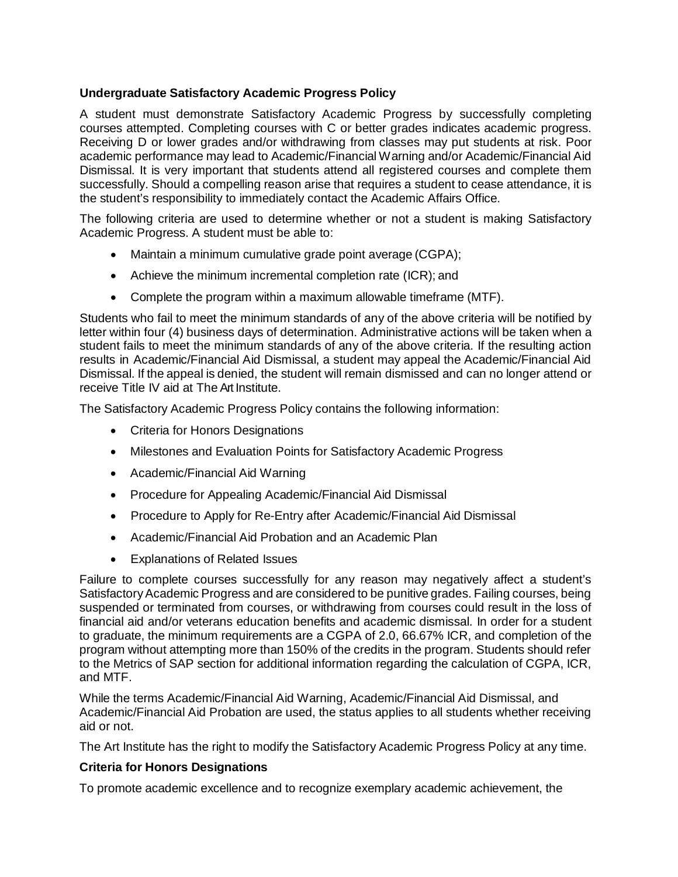# **Undergraduate Satisfactory Academic Progress Policy**

A student must demonstrate Satisfactory Academic Progress by successfully completing courses attempted. Completing courses with C or better grades indicates academic progress. Receiving D or lower grades and/or withdrawing from classes may put students at risk. Poor academic performance may lead to Academic/Financial Warning and/or Academic/Financial Aid Dismissal. It is very important that students attend all registered courses and complete them successfully. Should a compelling reason arise that requires a student to cease attendance, it is the student's responsibility to immediately contact the Academic Affairs Office.

The following criteria are used to determine whether or not a student is making Satisfactory Academic Progress. A student must be able to:

- Maintain a minimum cumulative grade point average (CGPA);
- Achieve the minimum incremental completion rate (ICR); and
- Complete the program within a maximum allowable timeframe (MTF).

Students who fail to meet the minimum standards of any of the above criteria will be notified by letter within four (4) business days of determination. Administrative actions will be taken when a student fails to meet the minimum standards of any of the above criteria. If the resulting action results in Academic/Financial Aid Dismissal, a student may appeal the Academic/Financial Aid Dismissal. If the appeal is denied, the student will remain dismissed and can no longer attend or receive Title IV aid at The Art Institute.

The Satisfactory Academic Progress Policy contains the following information:

- Criteria for Honors Designations
- Milestones and Evaluation Points for Satisfactory Academic Progress
- Academic/Financial Aid Warning
- Procedure for Appealing Academic/Financial Aid Dismissal
- Procedure to Apply for Re-Entry after Academic/Financial Aid Dismissal
- Academic/Financial Aid Probation and an Academic Plan
- Explanations of Related Issues

Failure to complete courses successfully for any reason may negatively affect a student's Satisfactory Academic Progress and are considered to be punitive grades. Failing courses, being suspended or terminated from courses, or withdrawing from courses could result in the loss of financial aid and/or veterans education benefits and academic dismissal. In order for a student to graduate, the minimum requirements are a CGPA of 2.0, 66.67% ICR, and completion of the program without attempting more than 150% of the credits in the program. Students should refer to the Metrics of SAP section for additional information regarding the calculation of CGPA, ICR, and MTF.

While the terms Academic/Financial Aid Warning, Academic/Financial Aid Dismissal, and Academic/Financial Aid Probation are used, the status applies to all students whether receiving aid or not.

The Art Institute has the right to modify the Satisfactory Academic Progress Policy at any time.

## **Criteria for Honors Designations**

To promote academic excellence and to recognize exemplary academic achievement, the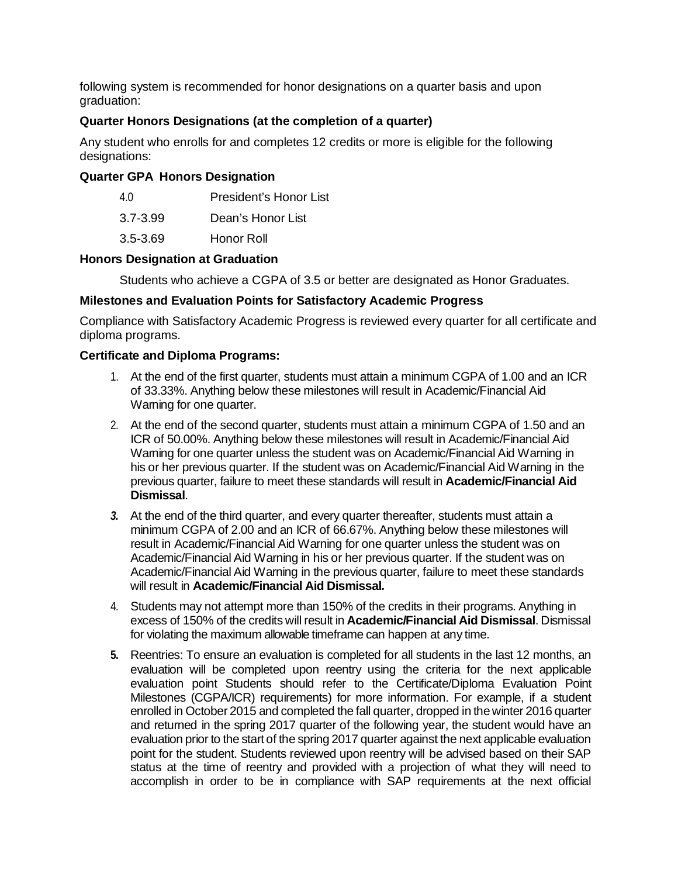following system is recommended for honor designations on a quarter basis and upon graduation:

# **Quarter Honors Designations (at the completion of a quarter)**

Any student who enrolls for and completes 12 credits or more is eligible for the following designations:

# **Quarter GPA Honors Designation**

| 4 O          | <b>President's Honor List</b> |
|--------------|-------------------------------|
| $3.7 - 3.99$ | Dean's Honor List             |
| $3.5 - 3.69$ | Honor Roll                    |

## **Honors Designation at Graduation**

Students who achieve a CGPA of 3.5 or better are designated as Honor Graduates.

## **Milestones and Evaluation Points for Satisfactory Academic Progress**

Compliance with Satisfactory Academic Progress is reviewed every quarter for all certificate and diploma programs.

## **Certificate and Diploma Programs:**

- 1. At the end of the first quarter, students must attain a minimum CGPA of 1.00 and an ICR of 33.33%. Anything below these milestones will result in Academic/Financial Aid Warning for one quarter.
- 2. At the end of the second quarter, students must attain a minimum CGPA of 1.50 and an ICR of 50.00%. Anything below these milestones will result in Academic/Financial Aid Warning for one quarter unless the student was on Academic/Financial Aid Warning in his or her previous quarter. If the student was on Academic/Financial Aid Warning in the previous quarter, failure to meet these standards will result in **Academic/Financial Aid Dismissal**.
- *3.* At the end of the third quarter, and every quarter thereafter, students must attain a minimum CGPA of 2.00 and an ICR of 66.67%. Anything below these milestones will result in Academic/Financial Aid Warning for one quarter unless the student was on Academic/Financial Aid Warning in his or her previous quarter. If the student was on Academic/Financial Aid Warning in the previous quarter, failure to meet these standards will result in **Academic/Financial Aid Dismissal***.*
- 4. Students may not attempt more than 150% of the credits in their programs. Anything in excess of 150% of the credits will result in **Academic/Financial Aid Dismissal**. Dismissal for violating the maximum allowable timeframe can happen at any time.
- **5.** Reentries: To ensure an evaluation is completed for all students in the last 12 months, an evaluation will be completed upon reentry using the criteria for the next applicable evaluation point Students should refer to the Certificate/Diploma Evaluation Point Milestones (CGPA/ICR) requirements) for more information. For example, if a student enrolled in October 2015 and completed the fall quarter, dropped in the winter 2016 quarter and returned in the spring 2017 quarter of the following year, the student would have an evaluation prior to the start of the spring 2017 quarter against the next applicable evaluation point for the student. Students reviewed upon reentry will be advised based on their SAP status at the time of reentry and provided with a projection of what they will need to accomplish in order to be in compliance with SAP requirements at the next official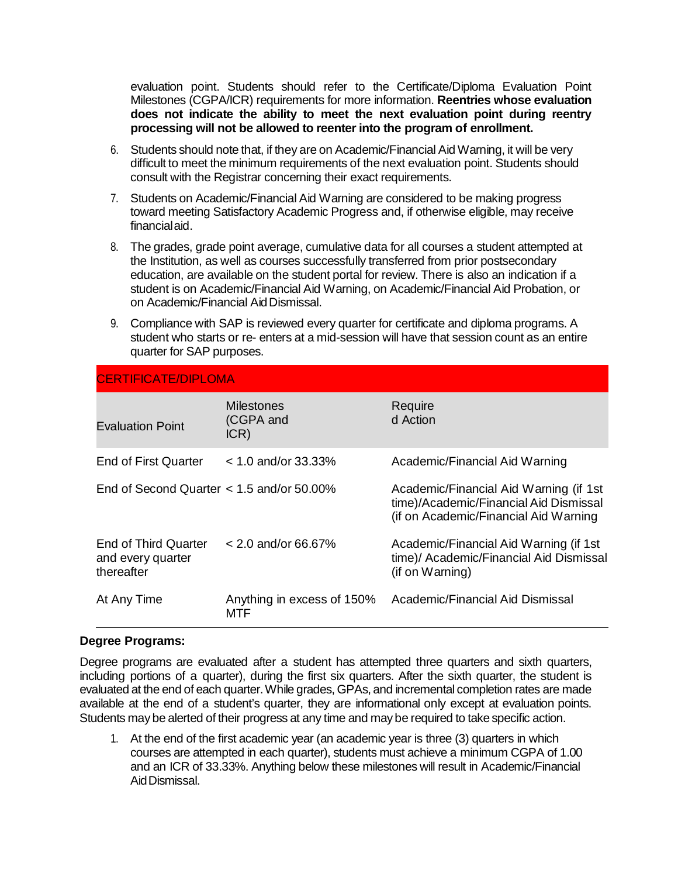evaluation point. Students should refer to the Certificate/Diploma Evaluation Point Milestones (CGPA/ICR) requirements for more information. **Reentries whose evaluation does not indicate the ability to meet the next evaluation point during reentry processing will not be allowed to reenter into the program of enrollment.**

- 6. Students should note that, if they are on Academic/Financial Aid Warning, it will be very difficult to meet the minimum requirements of the next evaluation point. Students should consult with the Registrar concerning their exact requirements.
- 7. Students on Academic/Financial Aid Warning are considered to be making progress toward meeting Satisfactory Academic Progress and, if otherwise eligible, may receive financialaid.
- 8. The grades, grade point average, cumulative data for all courses a student attempted at the Institution, as well as courses successfully transferred from prior postsecondary education, are available on the student portal for review. There is also an indication if a student is on Academic/Financial Aid Warning, on Academic/Financial Aid Probation, or on Academic/Financial AidDismissal.
- 9. Compliance with SAP is reviewed every quarter for certificate and diploma programs. A student who starts or re- enters at a mid-session will have that session count as an entire quarter for SAP purposes.

| <b>CERTIFICATE/DIPLOMA</b>                              |                                        |                                                                                                                            |
|---------------------------------------------------------|----------------------------------------|----------------------------------------------------------------------------------------------------------------------------|
| <b>Evaluation Point</b>                                 | <b>Milestones</b><br>(CGPA and<br>ICR) | Require<br>d Action                                                                                                        |
| End of First Quarter                                    | $< 1.0$ and/or 33.33%                  | Academic/Financial Aid Warning                                                                                             |
| End of Second Quarter $< 1.5$ and/or 50.00%             |                                        | Academic/Financial Aid Warning (if 1st<br>time)/Academic/Financial Aid Dismissal<br>(if on Academic/Financial Aid Warning) |
| End of Third Quarter<br>and every quarter<br>thereafter | $< 2.0$ and/or 66.67%                  | Academic/Financial Aid Warning (if 1st<br>time)/ Academic/Financial Aid Dismissal<br>(if on Warning)                       |
| At Any Time                                             | Anything in excess of 150%<br>MTF      | Academic/Financial Aid Dismissal                                                                                           |

### **Degree Programs:**

Degree programs are evaluated after a student has attempted three quarters and sixth quarters, including portions of a quarter), during the first six quarters. After the sixth quarter, the student is evaluated at the end of each quarter. While grades, GPAs, and incremental completion rates are made available at the end of a student's quarter, they are informational only except at evaluation points. Students may be alerted of their progress at any time and may be required to take specific action.

1. At the end of the first academic year (an academic year is three (3) quarters in which courses are attempted in each quarter), students must achieve a minimum CGPA of 1.00 and an ICR of 33.33%. Anything below these milestones will result in Academic/Financial AidDismissal.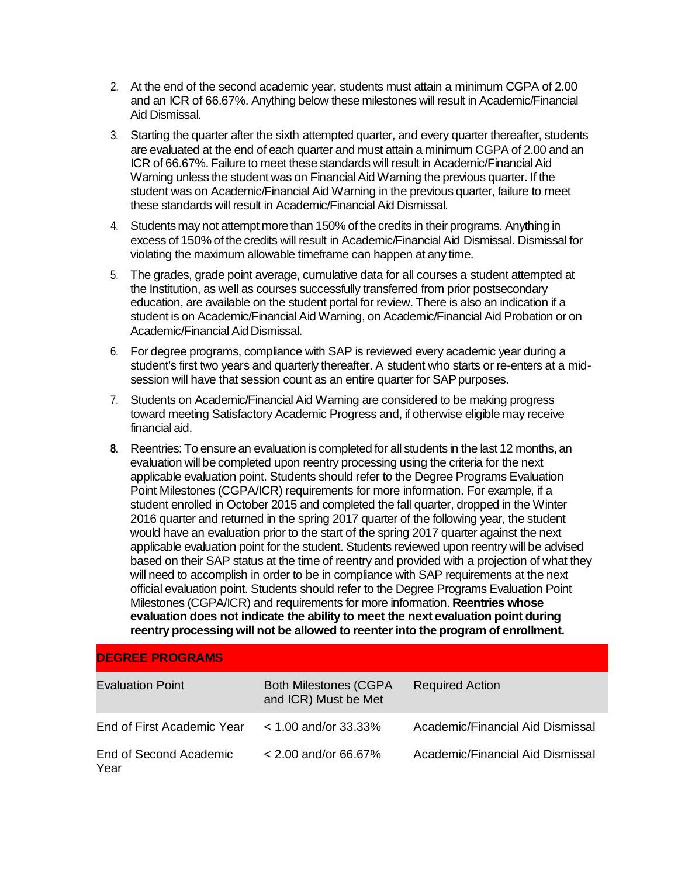- 2. At the end of the second academic year, students must attain a minimum CGPA of 2.00 and an ICR of 66.67%. Anything below these milestones will result in Academic/Financial Aid Dismissal.
- 3. Starting the quarter after the sixth attempted quarter, and every quarter thereafter, students are evaluated at the end of each quarter and must attain a minimum CGPA of 2.00 and an ICR of 66.67%. Failure to meet these standards will result in Academic/FinancialAid Warning unless the student was on Financial Aid Warning the previous quarter. If the student was on Academic/Financial Aid Warning in the previous quarter, failure to meet these standards will result in Academic/Financial Aid Dismissal.
- 4. Students may not attempt more than 150% of the credits in their programs. Anything in excess of 150% of the credits will result in Academic/Financial Aid Dismissal. Dismissal for violating the maximum allowable timeframe can happen at any time.
- 5. The grades, grade point average, cumulative data for all courses a student attempted at the Institution, as well as courses successfully transferred from prior postsecondary education, are available on the student portal for review. There is also an indication if a student is on Academic/Financial Aid Warning, on Academic/Financial Aid Probation or on Academic/Financial Aid Dismissal.
- 6. For degree programs, compliance with SAP is reviewed every academic year during a student's first two years and quarterly thereafter. A student who starts or re-enters at a midsession will have that session count as an entire quarter for SAP purposes.
- 7. Students on Academic/Financial Aid Warning are considered to be making progress toward meeting Satisfactory Academic Progress and, if otherwise eligible may receive financial aid.
- **8.** Reentries: To ensure an evaluation is completed for all students in the last 12 months, an evaluation will be completed upon reentry processing using the criteria for the next applicable evaluation point. Students should refer to the Degree Programs Evaluation Point Milestones (CGPA/ICR) requirements for more information. For example, if a student enrolled in October 2015 and completed the fall quarter, dropped in the Winter 2016 quarter and returned in the spring 2017 quarter of the following year, the student would have an evaluation prior to the start of the spring 2017 quarter against the next applicable evaluation point for the student. Students reviewed upon reentry will be advised based on their SAP status at the time of reentry and provided with a projection of what they will need to accomplish in order to be in compliance with SAP requirements at the next official evaluation point. Students should refer to the Degree Programs Evaluation Point Milestones (CGPA/ICR) and requirements for more information. **Reentries whose evaluation does not indicate the ability to meet the next evaluation point during reentry processing will not be allowed to reenterinto the program of enrollment.**

| <b>DEGREE PROGRAMS</b>         |                                                      |                                  |
|--------------------------------|------------------------------------------------------|----------------------------------|
| <b>Evaluation Point</b>        | <b>Both Milestones (CGPA</b><br>and ICR) Must be Met | <b>Required Action</b>           |
| End of First Academic Year     | $<$ 1.00 and/or 33.33%                               | Academic/Financial Aid Dismissal |
| End of Second Academic<br>Year | $< 2.00$ and/or 66.67%                               | Academic/Financial Aid Dismissal |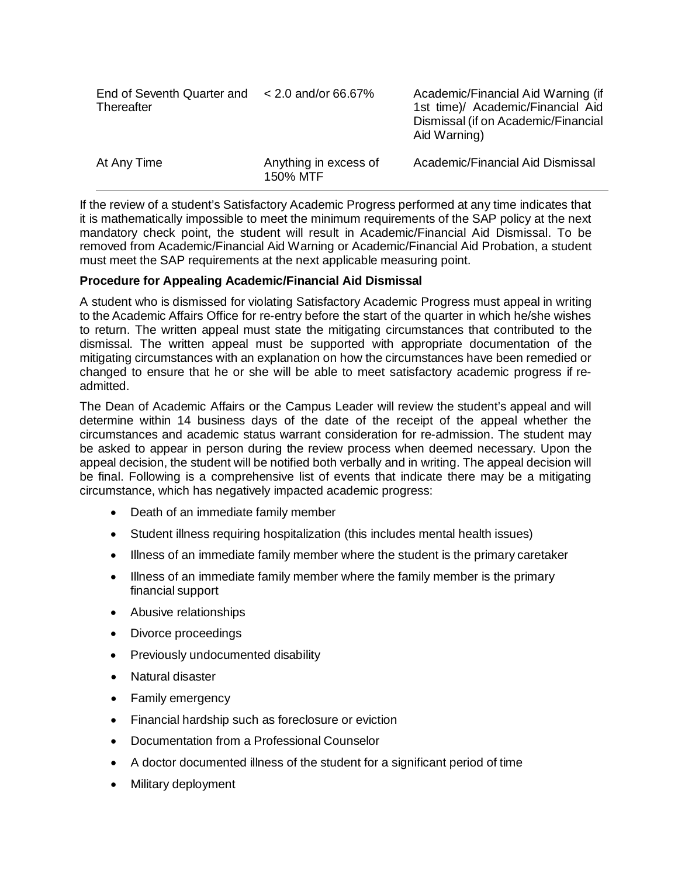| End of Seventh Quarter and $\leq$ 2.0 and/or 66.67%<br>Thereafter |                                   | Academic/Financial Aid Warning (if<br>1st time)/ Academic/Financial Aid<br>Dismissal (if on Academic/Financial<br>Aid Warning) |
|-------------------------------------------------------------------|-----------------------------------|--------------------------------------------------------------------------------------------------------------------------------|
| At Any Time                                                       | Anything in excess of<br>150% MTF | Academic/Financial Aid Dismissal                                                                                               |

If the review of a student's Satisfactory Academic Progress performed at any time indicates that it is mathematically impossible to meet the minimum requirements of the SAP policy at the next mandatory check point, the student will result in Academic/Financial Aid Dismissal. To be removed from Academic/Financial Aid Warning or Academic/Financial Aid Probation, a student must meet the SAP requirements at the next applicable measuring point.

### **Procedure for Appealing Academic/Financial Aid Dismissal**

A student who is dismissed for violating Satisfactory Academic Progress must appeal in writing to the Academic Affairs Office for re-entry before the start of the quarter in which he/she wishes to return. The written appeal must state the mitigating circumstances that contributed to the dismissal. The written appeal must be supported with appropriate documentation of the mitigating circumstances with an explanation on how the circumstances have been remedied or changed to ensure that he or she will be able to meet satisfactory academic progress if readmitted.

The Dean of Academic Affairs or the Campus Leader will review the student's appeal and will determine within 14 business days of the date of the receipt of the appeal whether the circumstances and academic status warrant consideration for re-admission. The student may be asked to appear in person during the review process when deemed necessary. Upon the appeal decision, the student will be notified both verbally and in writing. The appeal decision will be final. Following is a comprehensive list of events that indicate there may be a mitigating circumstance, which has negatively impacted academic progress:

- Death of an immediate family member
- Student illness requiring hospitalization (this includes mental health issues)
- Illness of an immediate family member where the student is the primary caretaker
- Illness of an immediate family member where the family member is the primary financial support
- Abusive relationships
- Divorce proceedings
- Previously undocumented disability
- Natural disaster
- Family emergency
- Financial hardship such as foreclosure or eviction
- Documentation from a Professional Counselor
- A doctor documented illness of the student for a significant period of time
- Military deployment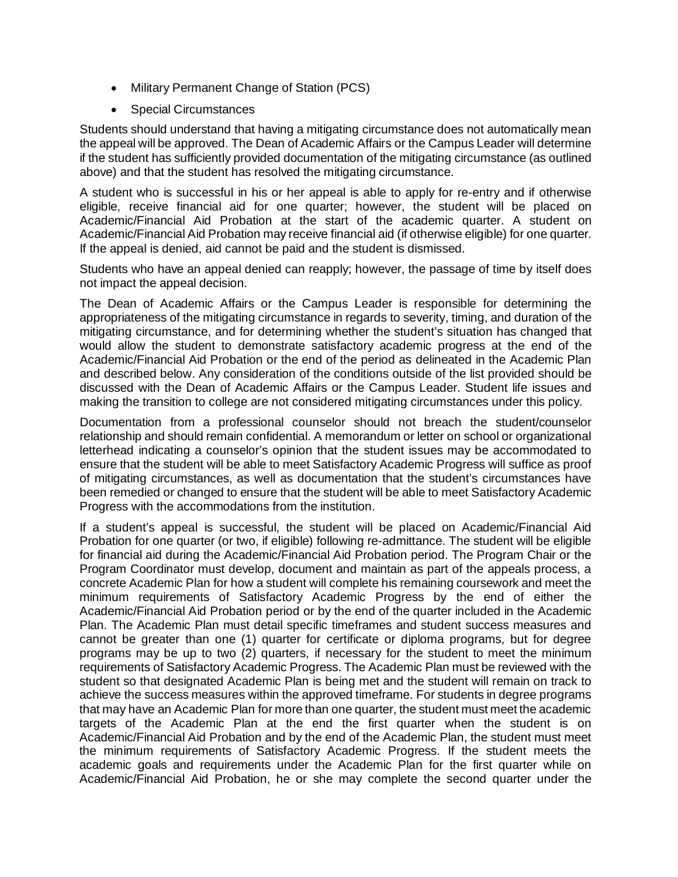- Military Permanent Change of Station (PCS)
- Special Circumstances

Students should understand that having a mitigating circumstance does not automatically mean the appeal will be approved. The Dean of Academic Affairs or the Campus Leader will determine if the student has sufficiently provided documentation of the mitigating circumstance (as outlined above) and that the student has resolved the mitigating circumstance.

A student who is successful in his or her appeal is able to apply for re-entry and if otherwise eligible, receive financial aid for one quarter; however, the student will be placed on Academic/Financial Aid Probation at the start of the academic quarter. A student on Academic/Financial Aid Probation may receive financial aid (if otherwise eligible) for one quarter. If the appeal is denied, aid cannot be paid and the student is dismissed.

Students who have an appeal denied can reapply; however, the passage of time by itself does not impact the appeal decision.

The Dean of Academic Affairs or the Campus Leader is responsible for determining the appropriateness of the mitigating circumstance in regards to severity, timing, and duration of the mitigating circumstance, and for determining whether the student's situation has changed that would allow the student to demonstrate satisfactory academic progress at the end of the Academic/Financial Aid Probation or the end of the period as delineated in the Academic Plan and described below. Any consideration of the conditions outside of the list provided should be discussed with the Dean of Academic Affairs or the Campus Leader. Student life issues and making the transition to college are not considered mitigating circumstances under this policy.

Documentation from a professional counselor should not breach the student/counselor relationship and should remain confidential. A memorandum or letter on school or organizational letterhead indicating a counselor's opinion that the student issues may be accommodated to ensure that the student will be able to meet Satisfactory Academic Progress will suffice as proof of mitigating circumstances, as well as documentation that the student's circumstances have been remedied or changed to ensure that the student will be able to meet Satisfactory Academic Progress with the accommodations from the institution.

If a student's appeal is successful, the student will be placed on Academic/Financial Aid Probation for one quarter (or two, if eligible) following re-admittance. The student will be eligible for financial aid during the Academic/Financial Aid Probation period. The Program Chair or the Program Coordinator must develop, document and maintain as part of the appeals process, a concrete Academic Plan for how a student will complete his remaining coursework and meet the minimum requirements of Satisfactory Academic Progress by the end of either the Academic/Financial Aid Probation period or by the end of the quarter included in the Academic Plan. The Academic Plan must detail specific timeframes and student success measures and cannot be greater than one (1) quarter for certificate or diploma programs, but for degree programs may be up to two (2) quarters, if necessary for the student to meet the minimum requirements of Satisfactory Academic Progress. The Academic Plan must be reviewed with the student so that designated Academic Plan is being met and the student will remain on track to achieve the success measures within the approved timeframe. For students in degree programs that may have an Academic Plan for more than one quarter, the student must meet the academic targets of the Academic Plan at the end the first quarter when the student is on Academic/Financial Aid Probation and by the end of the Academic Plan, the student must meet the minimum requirements of Satisfactory Academic Progress. If the student meets the academic goals and requirements under the Academic Plan for the first quarter while on Academic/Financial Aid Probation, he or she may complete the second quarter under the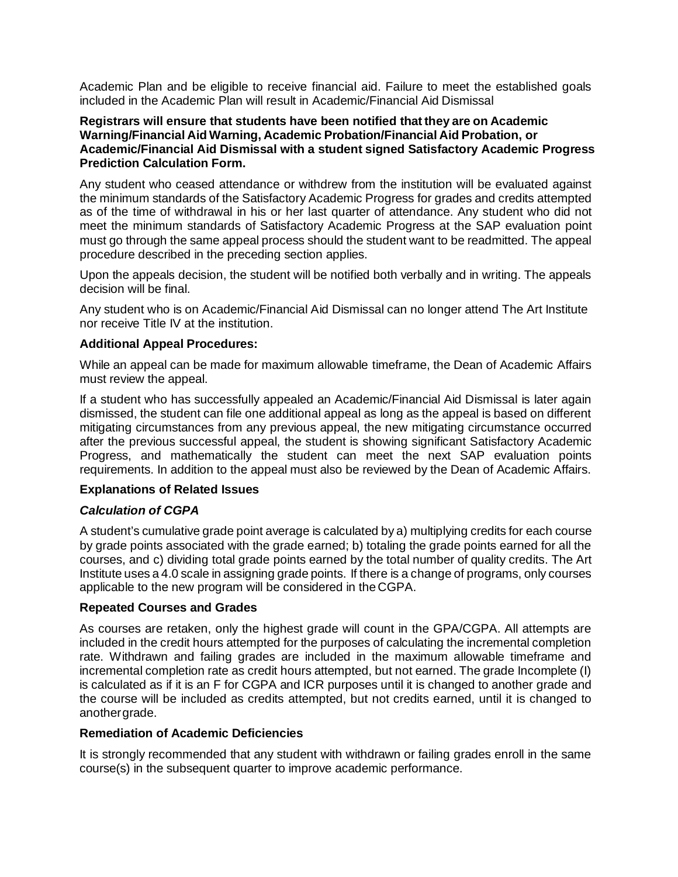Academic Plan and be eligible to receive financial aid. Failure to meet the established goals included in the Academic Plan will result in Academic/Financial Aid Dismissal

### **Registrars will ensure that students have been notified that they are on Academic Warning/Financial Aid Warning, Academic Probation/Financial Aid Probation, or Academic/Financial Aid Dismissal with a student signed Satisfactory Academic Progress Prediction Calculation Form.**

Any student who ceased attendance or withdrew from the institution will be evaluated against the minimum standards of the Satisfactory Academic Progress for grades and credits attempted as of the time of withdrawal in his or her last quarter of attendance. Any student who did not meet the minimum standards of Satisfactory Academic Progress at the SAP evaluation point must go through the same appeal process should the student want to be readmitted. The appeal procedure described in the preceding section applies.

Upon the appeals decision, the student will be notified both verbally and in writing. The appeals decision will be final.

Any student who is on Academic/Financial Aid Dismissal can no longer attend The Art Institute nor receive Title IV at the institution.

### **Additional Appeal Procedures:**

While an appeal can be made for maximum allowable timeframe, the Dean of Academic Affairs must review the appeal.

If a student who has successfully appealed an Academic/Financial Aid Dismissal is later again dismissed, the student can file one additional appeal as long as the appeal is based on different mitigating circumstances from any previous appeal, the new mitigating circumstance occurred after the previous successful appeal, the student is showing significant Satisfactory Academic Progress, and mathematically the student can meet the next SAP evaluation points requirements. In addition to the appeal must also be reviewed by the Dean of Academic Affairs.

### **Explanations of Related Issues**

### *Calculation of CGPA*

A student's cumulative grade point average is calculated by a) multiplying credits for each course by grade points associated with the grade earned; b) totaling the grade points earned for all the courses, and c) dividing total grade points earned by the total number of quality credits. The Art Institute uses a 4.0 scale in assigning grade points. If there is a change of programs, only courses applicable to the new program will be considered in the CGPA.

### **Repeated Courses and Grades**

As courses are retaken, only the highest grade will count in the GPA/CGPA. All attempts are included in the credit hours attempted for the purposes of calculating the incremental completion rate. Withdrawn and failing grades are included in the maximum allowable timeframe and incremental completion rate as credit hours attempted, but not earned. The grade Incomplete (I) is calculated as if it is an F for CGPA and ICR purposes until it is changed to another grade and the course will be included as credits attempted, but not credits earned, until it is changed to anothergrade.

### **Remediation of Academic Deficiencies**

It is strongly recommended that any student with withdrawn or failing grades enroll in the same course(s) in the subsequent quarter to improve academic performance.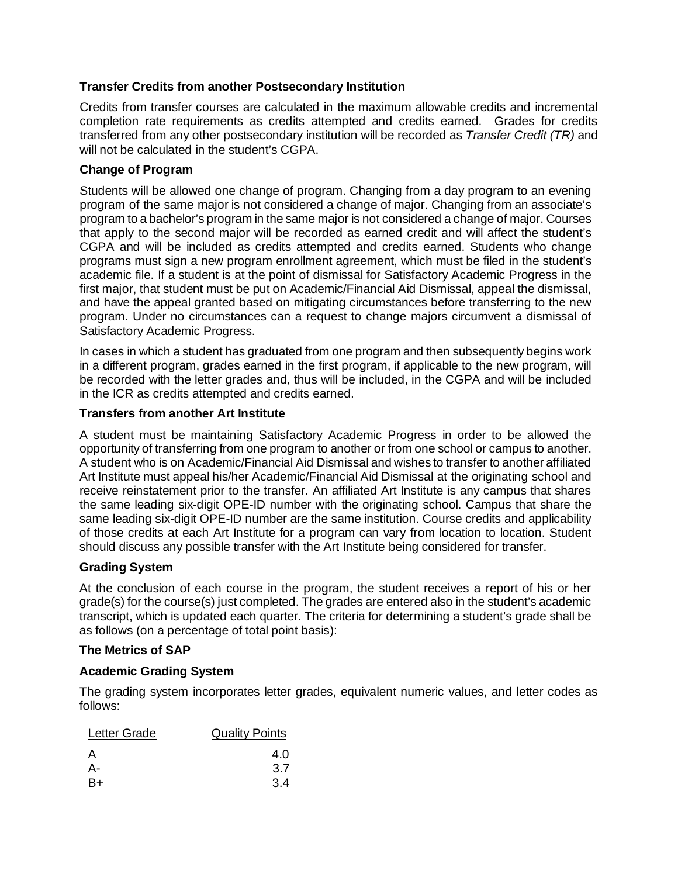# **Transfer Credits from another Postsecondary Institution**

Credits from transfer courses are calculated in the maximum allowable credits and incremental completion rate requirements as credits attempted and credits earned. Grades for credits transferred from any other postsecondary institution will be recorded as *Transfer Credit (TR)* and will not be calculated in the student's CGPA.

# **Change of Program**

Students will be allowed one change of program. Changing from a day program to an evening program of the same major is not considered a change of major. Changing from an associate's program to a bachelor's program in the same major is not considered a change of major. Courses that apply to the second major will be recorded as earned credit and will affect the student's CGPA and will be included as credits attempted and credits earned. Students who change programs must sign a new program enrollment agreement, which must be filed in the student's academic file. If a student is at the point of dismissal for Satisfactory Academic Progress in the first major, that student must be put on Academic/Financial Aid Dismissal, appeal the dismissal, and have the appeal granted based on mitigating circumstances before transferring to the new program. Under no circumstances can a request to change majors circumvent a dismissal of Satisfactory Academic Progress.

In cases in which a student has graduated from one program and then subsequently begins work in a different program, grades earned in the first program, if applicable to the new program, will be recorded with the letter grades and, thus will be included, in the CGPA and will be included in the ICR as credits attempted and credits earned.

# **Transfers from another Art Institute**

A student must be maintaining Satisfactory Academic Progress in order to be allowed the opportunity of transferring from one program to another or from one school or campus to another. A student who is on Academic/Financial Aid Dismissal and wishes to transfer to another affiliated Art Institute must appeal his/her Academic/Financial Aid Dismissal at the originating school and receive reinstatement prior to the transfer. An affiliated Art Institute is any campus that shares the same leading six-digit OPE-ID number with the originating school. Campus that share the same leading six-digit OPE-ID number are the same institution. Course credits and applicability of those credits at each Art Institute for a program can vary from location to location. Student should discuss any possible transfer with the Art Institute being considered for transfer.

## **Grading System**

At the conclusion of each course in the program, the student receives a report of his or her grade(s) for the course(s) just completed. The grades are entered also in the student's academic transcript, which is updated each quarter. The criteria for determining a student's grade shall be as follows (on a percentage of total point basis):

## **The Metrics of SAP**

## **Academic Grading System**

The grading system incorporates letter grades, equivalent numeric values, and letter codes as follows:

| Letter Grade | <b>Quality Points</b> |
|--------------|-----------------------|
| A            | 4.0                   |
| А-           | 3.7                   |
| B+           | 3.4                   |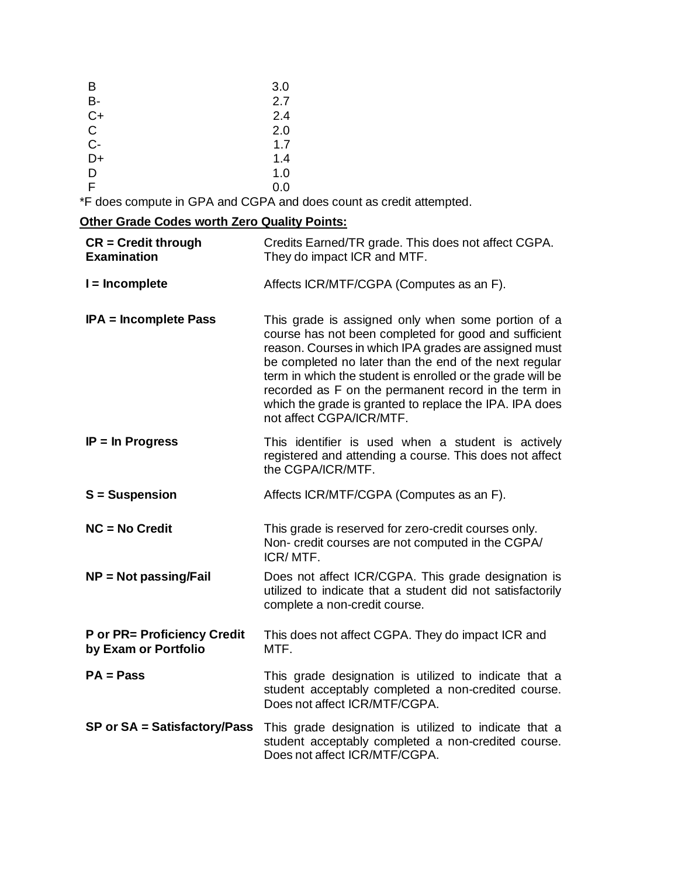| B     | 3.0 |
|-------|-----|
| B-    | 2.7 |
| $C+$  | 2.4 |
| C     | 2.0 |
| $C -$ | 1.7 |
| D+    | 1.4 |
| D     | 1.0 |
| F.    | 0.0 |

\*F does compute in GPA and CGPA and does count as credit attempted.

# **Other Grade Codes worth Zero Quality Points:**

| $CR = Credit through$<br><b>Examination</b>                | Credits Earned/TR grade. This does not affect CGPA.<br>They do impact ICR and MTF.                                                                                                                                                                                                                                                                                                                                                          |
|------------------------------------------------------------|---------------------------------------------------------------------------------------------------------------------------------------------------------------------------------------------------------------------------------------------------------------------------------------------------------------------------------------------------------------------------------------------------------------------------------------------|
| $I = Incomplete$                                           | Affects ICR/MTF/CGPA (Computes as an F).                                                                                                                                                                                                                                                                                                                                                                                                    |
| <b>IPA = Incomplete Pass</b>                               | This grade is assigned only when some portion of a<br>course has not been completed for good and sufficient<br>reason. Courses in which IPA grades are assigned must<br>be completed no later than the end of the next regular<br>term in which the student is enrolled or the grade will be<br>recorded as F on the permanent record in the term in<br>which the grade is granted to replace the IPA. IPA does<br>not affect CGPA/ICR/MTF. |
| $IP = In Progress$                                         | This identifier is used when a student is actively<br>registered and attending a course. This does not affect<br>the CGPA/ICR/MTF.                                                                                                                                                                                                                                                                                                          |
| <b>S</b> = Suspension                                      | Affects ICR/MTF/CGPA (Computes as an F).                                                                                                                                                                                                                                                                                                                                                                                                    |
| $NC = No Credit$                                           | This grade is reserved for zero-credit courses only.<br>Non- credit courses are not computed in the CGPA/<br>ICR/MTF.                                                                                                                                                                                                                                                                                                                       |
| <b>NP = Not passing/Fail</b>                               | Does not affect ICR/CGPA. This grade designation is<br>utilized to indicate that a student did not satisfactorily<br>complete a non-credit course.                                                                                                                                                                                                                                                                                          |
| <b>P</b> or PR= Proficiency Credit<br>by Exam or Portfolio | This does not affect CGPA. They do impact ICR and<br>MTF.                                                                                                                                                                                                                                                                                                                                                                                   |
| $PA = Pass$                                                | This grade designation is utilized to indicate that a<br>student acceptably completed a non-credited course.<br>Does not affect ICR/MTF/CGPA.                                                                                                                                                                                                                                                                                               |
| SP or SA = Satisfactory/Pass                               | This grade designation is utilized to indicate that a<br>student acceptably completed a non-credited course.<br>Does not affect ICR/MTF/CGPA.                                                                                                                                                                                                                                                                                               |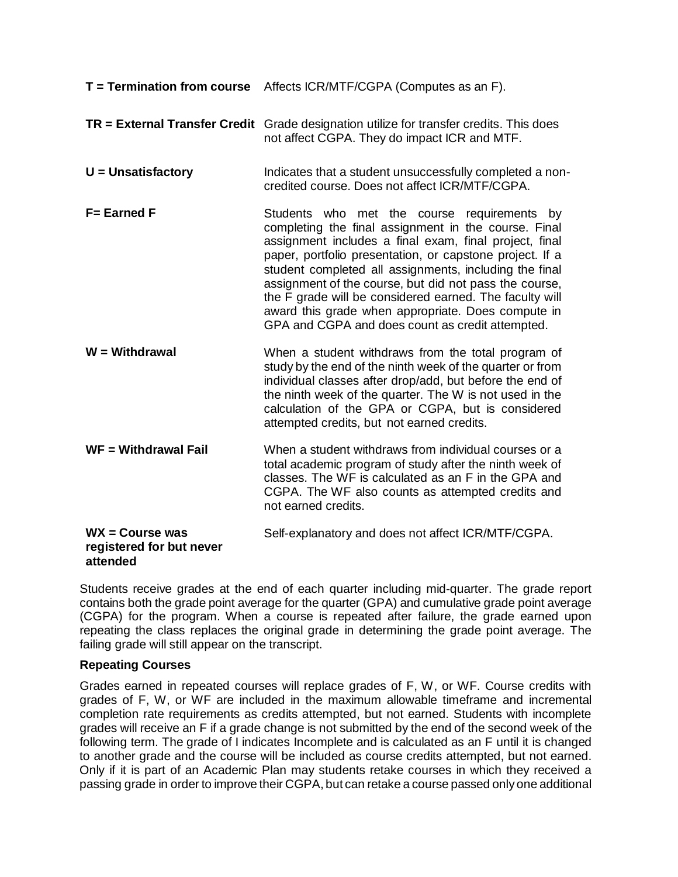| <b>T</b> = Termination from course                        | Affects ICR/MTF/CGPA (Computes as an F).                                                                                                                                                                                                                                                                                                                                                                                                                                                                           |
|-----------------------------------------------------------|--------------------------------------------------------------------------------------------------------------------------------------------------------------------------------------------------------------------------------------------------------------------------------------------------------------------------------------------------------------------------------------------------------------------------------------------------------------------------------------------------------------------|
| <b>TR</b> = External Transfer Credit                      | Grade designation utilize for transfer credits. This does<br>not affect CGPA. They do impact ICR and MTF.                                                                                                                                                                                                                                                                                                                                                                                                          |
| $U =$ Unsatisfactory                                      | Indicates that a student unsuccessfully completed a non-<br>credited course. Does not affect ICR/MTF/CGPA.                                                                                                                                                                                                                                                                                                                                                                                                         |
| <b>F= Earned F</b>                                        | Students who met the course requirements by<br>completing the final assignment in the course. Final<br>assignment includes a final exam, final project, final<br>paper, portfolio presentation, or capstone project. If a<br>student completed all assignments, including the final<br>assignment of the course, but did not pass the course,<br>the F grade will be considered earned. The faculty will<br>award this grade when appropriate. Does compute in<br>GPA and CGPA and does count as credit attempted. |
| $W = With drawn$                                          | When a student withdraws from the total program of<br>study by the end of the ninth week of the quarter or from<br>individual classes after drop/add, but before the end of<br>the ninth week of the quarter. The W is not used in the<br>calculation of the GPA or CGPA, but is considered<br>attempted credits, but not earned credits.                                                                                                                                                                          |
| $WF = Without$ and Withdrawal Fail                        | When a student withdraws from individual courses or a<br>total academic program of study after the ninth week of<br>classes. The WF is calculated as an F in the GPA and<br>CGPA. The WF also counts as attempted credits and<br>not earned credits.                                                                                                                                                                                                                                                               |
| $WX = Course$ was<br>registered for but never<br>attended | Self-explanatory and does not affect ICR/MTF/CGPA.                                                                                                                                                                                                                                                                                                                                                                                                                                                                 |

Students receive grades at the end of each quarter including mid-quarter. The grade report contains both the grade point average for the quarter (GPA) and cumulative grade point average (CGPA) for the program. When a course is repeated after failure, the grade earned upon repeating the class replaces the original grade in determining the grade point average. The failing grade will still appear on the transcript.

### **Repeating Courses**

Grades earned in repeated courses will replace grades of F, W, or WF. Course credits with grades of F, W, or WF are included in the maximum allowable timeframe and incremental completion rate requirements as credits attempted, but not earned. Students with incomplete grades will receive an F if a grade change is not submitted by the end of the second week of the following term. The grade of I indicates Incomplete and is calculated as an F until it is changed to another grade and the course will be included as course credits attempted, but not earned. Only if it is part of an Academic Plan may students retake courses in which they received a passing grade in order to improve their CGPA, but can retake a course passed only one additional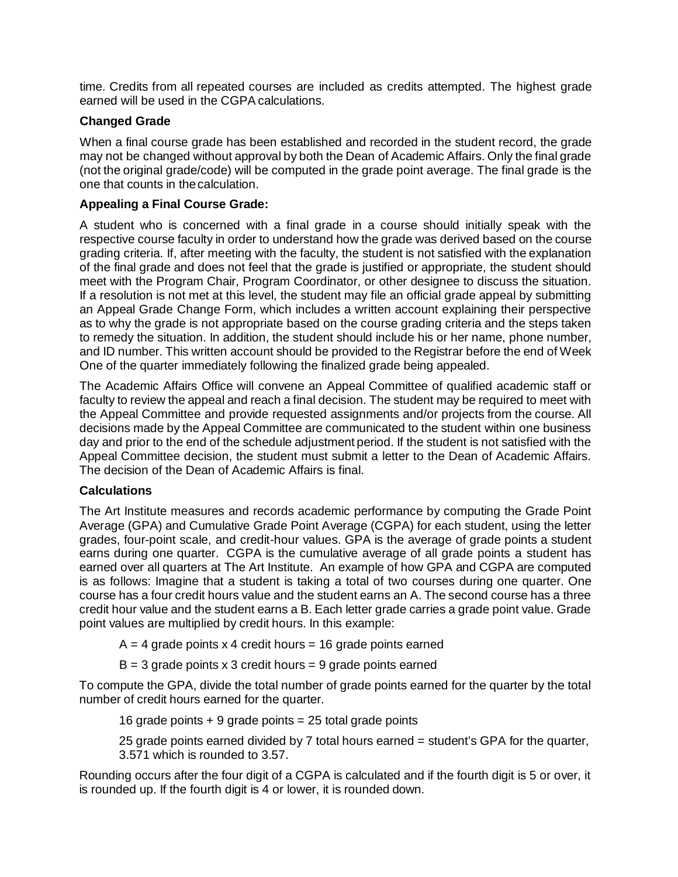time. Credits from all repeated courses are included as credits attempted. The highest grade earned will be used in the CGPA calculations.

# **Changed Grade**

When a final course grade has been established and recorded in the student record, the grade may not be changed without approval by both the Dean of Academic Affairs. Only the final grade (not the original grade/code) will be computed in the grade point average. The final grade is the one that counts in thecalculation.

# **Appealing a Final Course Grade:**

A student who is concerned with a final grade in a course should initially speak with the respective course faculty in order to understand how the grade was derived based on the course grading criteria. If, after meeting with the faculty, the student is not satisfied with the explanation of the final grade and does not feel that the grade is justified or appropriate, the student should meet with the Program Chair, Program Coordinator, or other designee to discuss the situation. If a resolution is not met at this level, the student may file an official grade appeal by submitting an Appeal Grade Change Form, which includes a written account explaining their perspective as to why the grade is not appropriate based on the course grading criteria and the steps taken to remedy the situation. In addition, the student should include his or her name, phone number, and ID number. This written account should be provided to the Registrar before the end of Week One of the quarter immediately following the finalized grade being appealed.

The Academic Affairs Office will convene an Appeal Committee of qualified academic staff or faculty to review the appeal and reach a final decision. The student may be required to meet with the Appeal Committee and provide requested assignments and/or projects from the course. All decisions made by the Appeal Committee are communicated to the student within one business day and prior to the end of the schedule adjustment period. If the student is not satisfied with the Appeal Committee decision, the student must submit a letter to the Dean of Academic Affairs. The decision of the Dean of Academic Affairs is final.

## **Calculations**

The Art Institute measures and records academic performance by computing the Grade Point Average (GPA) and Cumulative Grade Point Average (CGPA) for each student, using the letter grades, four-point scale, and credit-hour values. GPA is the average of grade points a student earns during one quarter. CGPA is the cumulative average of all grade points a student has earned over all quarters at The Art Institute. An example of how GPA and CGPA are computed is as follows: Imagine that a student is taking a total of two courses during one quarter. One course has a four credit hours value and the student earns an A. The second course has a three credit hour value and the student earns a B. Each letter grade carries a grade point value. Grade point values are multiplied by credit hours. In this example:

- $A = 4$  grade points x 4 credit hours = 16 grade points earned
- $B = 3$  grade points x 3 credit hours = 9 grade points earned

To compute the GPA, divide the total number of grade points earned for the quarter by the total number of credit hours earned for the quarter.

16 grade points  $+9$  grade points = 25 total grade points

25 grade points earned divided by 7 total hours earned = student's GPA for the quarter, 3.571 which is rounded to 3.57.

Rounding occurs after the four digit of a CGPA is calculated and if the fourth digit is 5 or over, it is rounded up. If the fourth digit is 4 or lower, it is rounded down.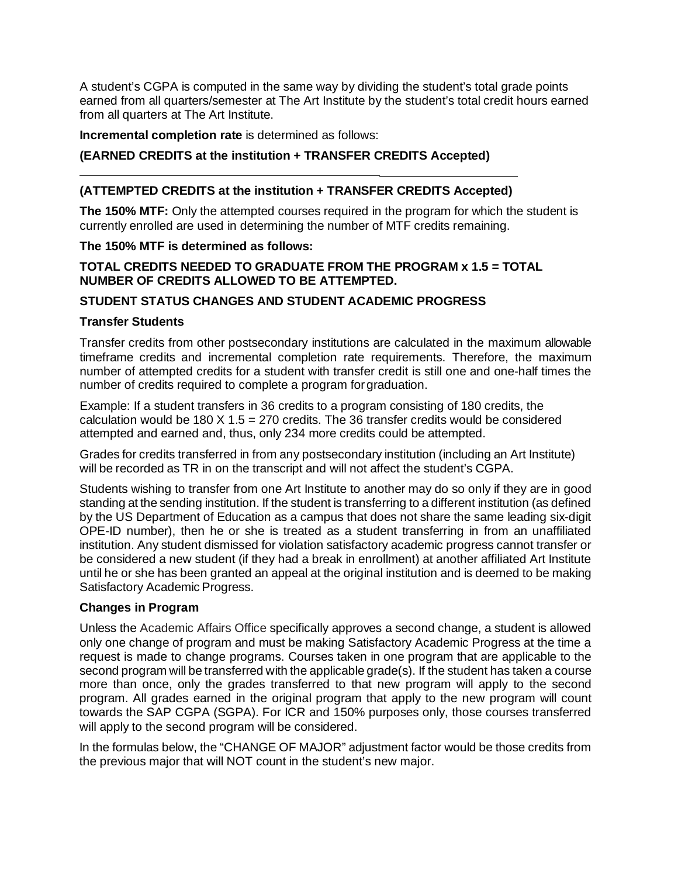A student's CGPA is computed in the same way by dividing the student's total grade points earned from all quarters/semester at The Art Institute by the student's total credit hours earned from all quarters at The Art Institute.

### **Incremental completion rate** is determined as follows:

## **(EARNED CREDITS at the institution + TRANSFER CREDITS Accepted)**

### **(ATTEMPTED CREDITS at the institution + TRANSFER CREDITS Accepted)**

**The 150% MTF:** Only the attempted courses required in the program for which the student is currently enrolled are used in determining the number of MTF credits remaining.

### **The 150% MTF is determined as follows:**

## **TOTAL CREDITS NEEDED TO GRADUATE FROM THE PROGRAM x 1.5 = TOTAL NUMBER OF CREDITS ALLOWED TO BE ATTEMPTED.**

### **STUDENT STATUS CHANGES AND STUDENT ACADEMIC PROGRESS**

### **Transfer Students**

Transfer credits from other postsecondary institutions are calculated in the maximum allowable timeframe credits and incremental completion rate requirements. Therefore, the maximum number of attempted credits for a student with transfer credit is still one and one-half times the number of credits required to complete a program forgraduation.

Example: If a student transfers in 36 credits to a program consisting of 180 credits, the calculation would be 180 X 1.5 = 270 credits. The 36 transfer credits would be considered attempted and earned and, thus, only 234 more credits could be attempted.

Grades for credits transferred in from any postsecondary institution (including an Art Institute) will be recorded as TR in on the transcript and will not affect the student's CGPA.

Students wishing to transfer from one Art Institute to another may do so only if they are in good standing at the sending institution. If the student is transferring to a different institution (as defined by the US Department of Education as a campus that does not share the same leading six-digit OPE-ID number), then he or she is treated as a student transferring in from an unaffiliated institution. Any student dismissed for violation satisfactory academic progress cannot transfer or be considered a new student (if they had a break in enrollment) at another affiliated Art Institute until he or she has been granted an appeal at the original institution and is deemed to be making Satisfactory Academic Progress.

### **Changes in Program**

Unless the Academic Affairs Office specifically approves a second change, a student is allowed only one change of program and must be making Satisfactory Academic Progress at the time a request is made to change programs. Courses taken in one program that are applicable to the second program will be transferred with the applicable grade(s). If the student has taken a course more than once, only the grades transferred to that new program will apply to the second program. All grades earned in the original program that apply to the new program will count towards the SAP CGPA (SGPA). For ICR and 150% purposes only, those courses transferred will apply to the second program will be considered.

In the formulas below, the "CHANGE OF MAJOR" adjustment factor would be those credits from the previous major that will NOT count in the student's new major.